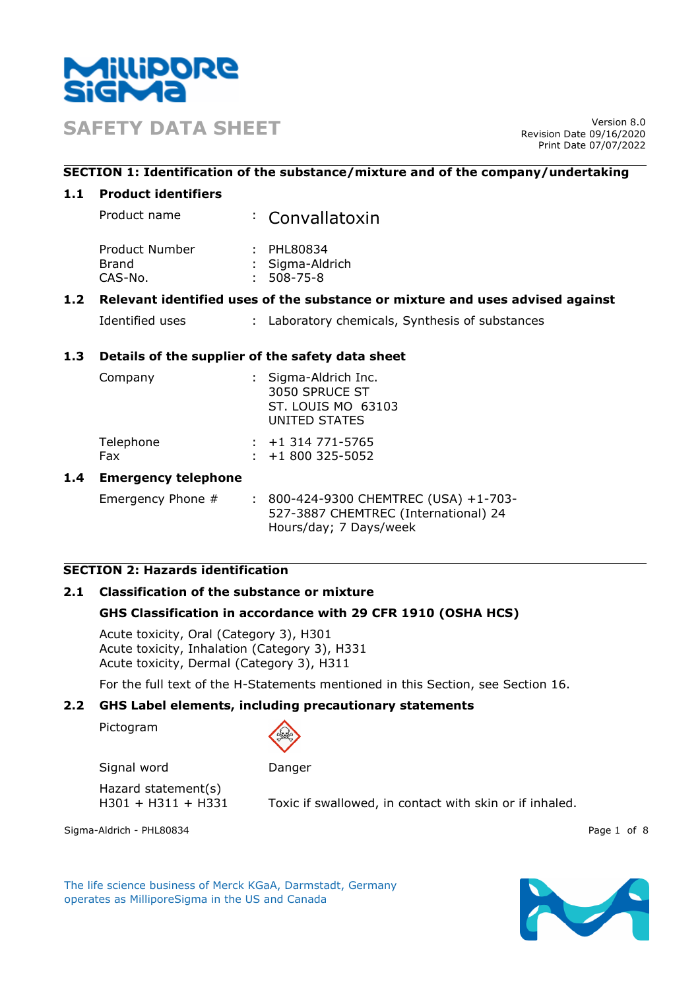

**SAFETY DATA SHEET** Version 8.0

Revision Date 09/16/2020 Print Date 07/07/2022

## **SECTION 1: Identification of the substance/mixture and of the company/undertaking**

### **1.1 Product identifiers**

| Product name   | : Convallatoxin |
|----------------|-----------------|
| Product Number | : PHL80834      |

| Brand   | : Sigma-Aldrich  |
|---------|------------------|
| CAS-No. | $: 508 - 75 - 8$ |

## **1.2 Relevant identified uses of the substance or mixture and uses advised against**

| Identified uses |  | : Laboratory chemicals, Synthesis of substances |  |
|-----------------|--|-------------------------------------------------|--|
|-----------------|--|-------------------------------------------------|--|

## **1.3 Details of the supplier of the safety data sheet**

| Company          | : Sigma-Aldrich Inc.<br>3050 SPRUCE ST<br>ST. LOUIS MO 63103<br>UNITED STATES |  |
|------------------|-------------------------------------------------------------------------------|--|
| Telephone<br>Fax | $: +1314771 - 5765$<br>$\div$ +1 800 325-5052                                 |  |
|                  |                                                                               |  |

### **1.4 Emergency telephone**

Emergency Phone # : 800-424-9300 CHEMTREC (USA) +1-703-527-3887 CHEMTREC (International) 24 Hours/day; 7 Days/week

# **SECTION 2: Hazards identification**

# **2.1 Classification of the substance or mixture**

# **GHS Classification in accordance with 29 CFR 1910 (OSHA HCS)**

Acute toxicity, Oral (Category 3), H301 Acute toxicity, Inhalation (Category 3), H331 Acute toxicity, Dermal (Category 3), H311

For the full text of the H-Statements mentioned in this Section, see Section 16.

### **2.2 GHS Label elements, including precautionary statements**

Pictogram



Signal word Danger

Hazard statement(s)

H301 + H311 + H331 Toxic if swallowed, in contact with skin or if inhaled.

Sigma-Aldrich - PHL80834 Page 1 of 8

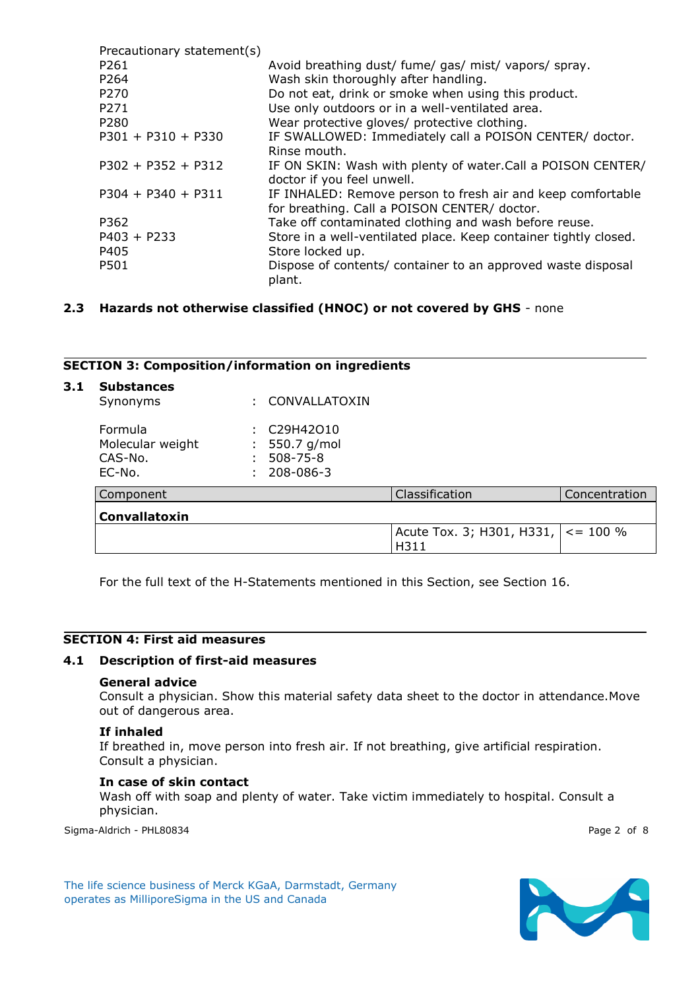| Precautionary statement(s) |                                                                  |
|----------------------------|------------------------------------------------------------------|
| P261                       | Avoid breathing dust/ fume/ gas/ mist/ vapors/ spray.            |
| P <sub>264</sub>           | Wash skin thoroughly after handling.                             |
| P270                       | Do not eat, drink or smoke when using this product.              |
| P271                       | Use only outdoors or in a well-ventilated area.                  |
| P280                       | Wear protective gloves/ protective clothing.                     |
| $P301 + P310 + P330$       | IF SWALLOWED: Immediately call a POISON CENTER/ doctor.          |
|                            | Rinse mouth.                                                     |
| $P302 + P352 + P312$       | IF ON SKIN: Wash with plenty of water. Call a POISON CENTER/     |
|                            | doctor if you feel unwell.                                       |
| $P304 + P340 + P311$       | IF INHALED: Remove person to fresh air and keep comfortable      |
|                            | for breathing. Call a POISON CENTER/ doctor.                     |
| P362                       | Take off contaminated clothing and wash before reuse.            |
| $P403 + P233$              | Store in a well-ventilated place. Keep container tightly closed. |
| P405                       | Store locked up.                                                 |
| P501                       | Dispose of contents/ container to an approved waste disposal     |
|                            | plant.                                                           |

# **2.3 Hazards not otherwise classified (HNOC) or not covered by GHS** - none

#### **SECTION 3: Composition/information on ingredients**

| 3.1 | <b>Substances</b><br>Synonyms                    | : CONVALLATOXIN                                           |                                                     |               |
|-----|--------------------------------------------------|-----------------------------------------------------------|-----------------------------------------------------|---------------|
|     | Formula<br>Molecular weight<br>CAS-No.<br>EC-No. | : C29H42010<br>550.7 g/mol<br>$508 - 75 - 8$<br>208-086-3 |                                                     |               |
|     | Component                                        |                                                           | Classification                                      | Concentration |
|     | Convallatoxin                                    |                                                           |                                                     |               |
|     |                                                  |                                                           | Acute Tox. 3; H301, H331, $\vert$ < = 100 %<br>H311 |               |

For the full text of the H-Statements mentioned in this Section, see Section 16.

## **SECTION 4: First aid measures**

### **4.1 Description of first-aid measures**

#### **General advice**

Consult a physician. Show this material safety data sheet to the doctor in attendance.Move out of dangerous area.

#### **If inhaled**

If breathed in, move person into fresh air. If not breathing, give artificial respiration. Consult a physician.

#### **In case of skin contact**

Wash off with soap and plenty of water. Take victim immediately to hospital. Consult a physician.

Sigma-Aldrich - PHL80834 Page 2 of 8

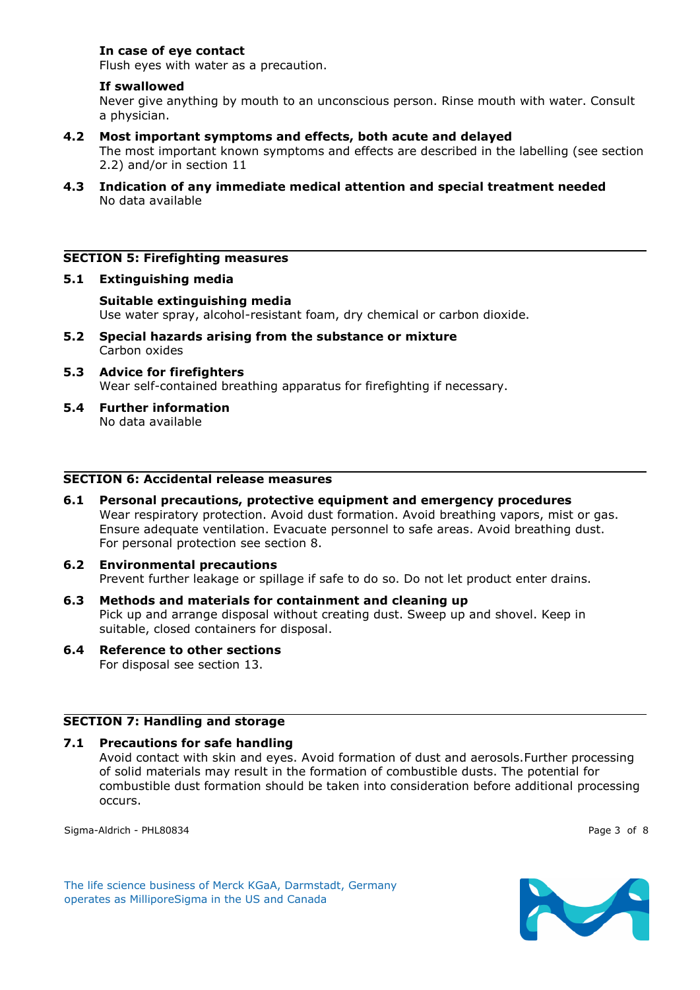## **In case of eye contact**

Flush eyes with water as a precaution.

### **If swallowed**

Never give anything by mouth to an unconscious person. Rinse mouth with water. Consult a physician.

### **4.2 Most important symptoms and effects, both acute and delayed**

The most important known symptoms and effects are described in the labelling (see section 2.2) and/or in section 11

**4.3 Indication of any immediate medical attention and special treatment needed** No data available

### **SECTION 5: Firefighting measures**

#### **5.1 Extinguishing media**

- **Suitable extinguishing media** Use water spray, alcohol-resistant foam, dry chemical or carbon dioxide.
- **5.2 Special hazards arising from the substance or mixture** Carbon oxides
- **5.3 Advice for firefighters** Wear self-contained breathing apparatus for firefighting if necessary.
- **5.4 Further information** No data available

#### **SECTION 6: Accidental release measures**

**6.1 Personal precautions, protective equipment and emergency procedures** Wear respiratory protection. Avoid dust formation. Avoid breathing vapors, mist or gas. Ensure adequate ventilation. Evacuate personnel to safe areas. Avoid breathing dust. For personal protection see section 8.

### **6.2 Environmental precautions** Prevent further leakage or spillage if safe to do so. Do not let product enter drains.

**6.3 Methods and materials for containment and cleaning up** Pick up and arrange disposal without creating dust. Sweep up and shovel. Keep in suitable, closed containers for disposal.

# **6.4 Reference to other sections**

For disposal see section 13.

### **SECTION 7: Handling and storage**

#### **7.1 Precautions for safe handling**

Avoid contact with skin and eyes. Avoid formation of dust and aerosols.Further processing of solid materials may result in the formation of combustible dusts. The potential for combustible dust formation should be taken into consideration before additional processing occurs.

Sigma-Aldrich - PHL80834 Page 3 of 8

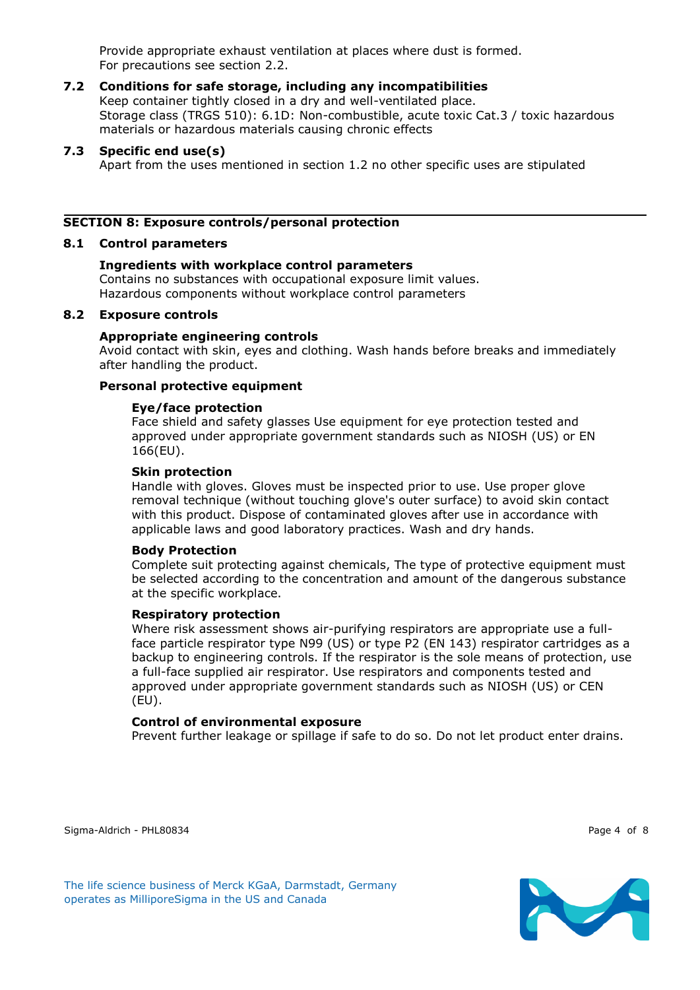Provide appropriate exhaust ventilation at places where dust is formed. For precautions see section 2.2.

# **7.2 Conditions for safe storage, including any incompatibilities**

Keep container tightly closed in a dry and well-ventilated place. Storage class (TRGS 510): 6.1D: Non-combustible, acute toxic Cat.3 / toxic hazardous materials or hazardous materials causing chronic effects

# **7.3 Specific end use(s)**

Apart from the uses mentioned in section 1.2 no other specific uses are stipulated

# **SECTION 8: Exposure controls/personal protection**

## **8.1 Control parameters**

# **Ingredients with workplace control parameters**

Contains no substances with occupational exposure limit values. Hazardous components without workplace control parameters

# **8.2 Exposure controls**

## **Appropriate engineering controls**

Avoid contact with skin, eyes and clothing. Wash hands before breaks and immediately after handling the product.

## **Personal protective equipment**

## **Eye/face protection**

Face shield and safety glasses Use equipment for eye protection tested and approved under appropriate government standards such as NIOSH (US) or EN 166(EU).

### **Skin protection**

Handle with gloves. Gloves must be inspected prior to use. Use proper glove removal technique (without touching glove's outer surface) to avoid skin contact with this product. Dispose of contaminated gloves after use in accordance with applicable laws and good laboratory practices. Wash and dry hands.

### **Body Protection**

Complete suit protecting against chemicals, The type of protective equipment must be selected according to the concentration and amount of the dangerous substance at the specific workplace.

### **Respiratory protection**

Where risk assessment shows air-purifying respirators are appropriate use a fullface particle respirator type N99 (US) or type P2 (EN 143) respirator cartridges as a backup to engineering controls. If the respirator is the sole means of protection, use a full-face supplied air respirator. Use respirators and components tested and approved under appropriate government standards such as NIOSH (US) or CEN (EU).

### **Control of environmental exposure**

Prevent further leakage or spillage if safe to do so. Do not let product enter drains.

Sigma-Aldrich - PHL80834 Page 4 of 8

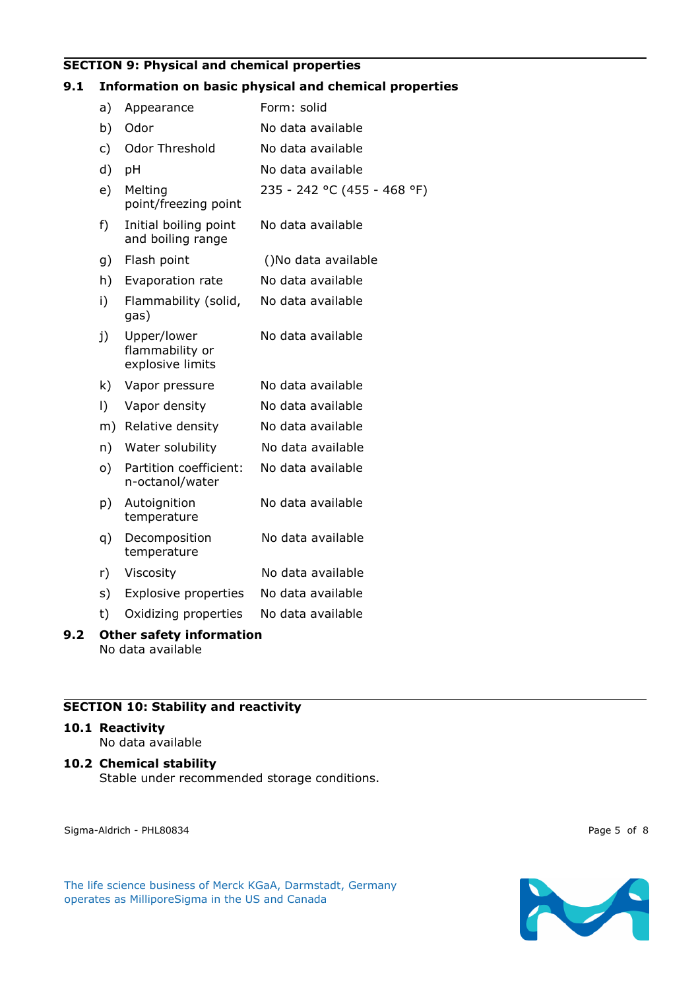# **SECTION 9: Physical and chemical properties**

### **9.1 Information on basic physical and chemical properties**

| a)                              | Appearance                                         | Form: solid                 |  |  |
|---------------------------------|----------------------------------------------------|-----------------------------|--|--|
| b)                              | Odor                                               | No data available           |  |  |
| c)                              | Odor Threshold                                     | No data available           |  |  |
| d)                              | рH                                                 | No data available           |  |  |
| e)                              | Melting<br>point/freezing point                    | 235 - 242 °C (455 - 468 °F) |  |  |
| f)                              | Initial boiling point<br>and boiling range         | No data available           |  |  |
| g)                              | Flash point                                        | ()No data available         |  |  |
| h)                              | Evaporation rate                                   | No data available           |  |  |
| i)                              | Flammability (solid,<br>gas)                       | No data available           |  |  |
| j)                              | Upper/lower<br>flammability or<br>explosive limits | No data available           |  |  |
| k)                              | Vapor pressure                                     | No data available           |  |  |
| $\vert$ )                       | Vapor density                                      | No data available           |  |  |
| m)                              | Relative density                                   | No data available           |  |  |
| n)                              | Water solubility                                   | No data available           |  |  |
| o)                              | Partition coefficient:<br>n-octanol/water          | No data available           |  |  |
| p)                              | Autoignition<br>temperature                        | No data available           |  |  |
| q)                              | Decomposition<br>temperature                       | No data available           |  |  |
| r)                              | Viscosity                                          | No data available           |  |  |
| s)                              | <b>Explosive properties</b>                        | No data available           |  |  |
| t)                              | Oxidizing properties                               | No data available           |  |  |
| <b>Other safety information</b> |                                                    |                             |  |  |

No data available

# **SECTION 10: Stability and reactivity**

# **10.1 Reactivity**

**9.2** 

No data available

### **10.2 Chemical stability**

Stable under recommended storage conditions.

Sigma-Aldrich - PHL80834 Page 5 of 8

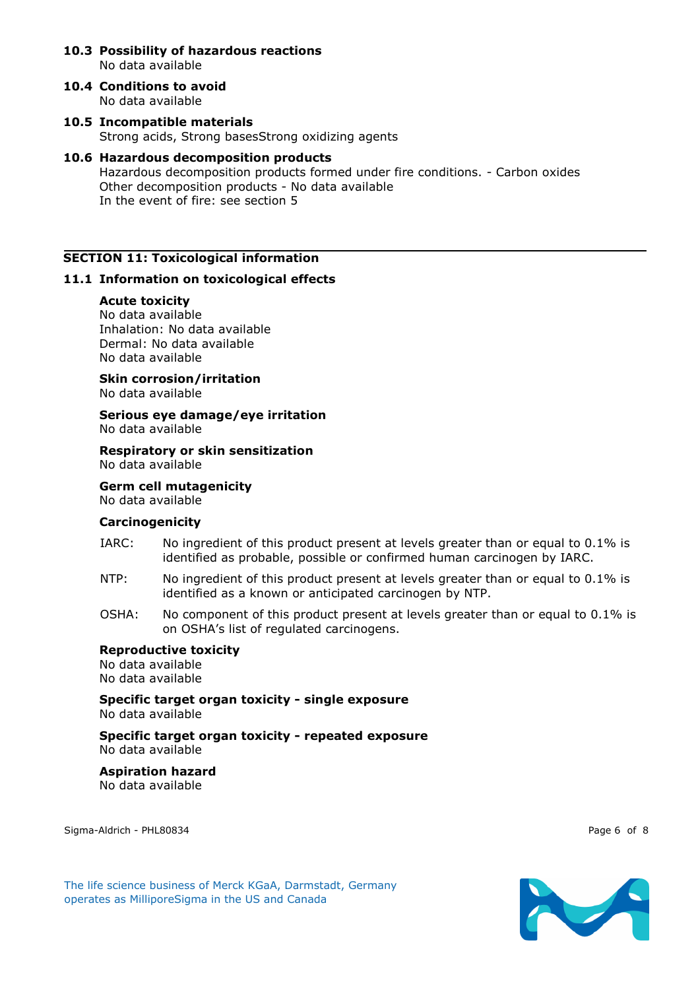### **10.3 Possibility of hazardous reactions** No data available

- **10.4 Conditions to avoid** No data available
- **10.5 Incompatible materials** Strong acids, Strong basesStrong oxidizing agents

### **10.6 Hazardous decomposition products** Hazardous decomposition products formed under fire conditions. - Carbon oxides Other decomposition products - No data available In the event of fire: see section 5

## **SECTION 11: Toxicological information**

## **11.1 Information on toxicological effects**

### **Acute toxicity**

No data available Inhalation: No data available Dermal: No data available No data available

**Skin corrosion/irritation** No data available

# **Serious eye damage/eye irritation**

No data available

### **Respiratory or skin sensitization** No data available

**Germ cell mutagenicity**

No data available

### **Carcinogenicity**

- IARC: No ingredient of this product present at levels greater than or equal to 0.1% is identified as probable, possible or confirmed human carcinogen by IARC.
- NTP: No ingredient of this product present at levels greater than or equal to 0.1% is identified as a known or anticipated carcinogen by NTP.
- OSHA: No component of this product present at levels greater than or equal to 0.1% is on OSHA's list of regulated carcinogens.

### **Reproductive toxicity**

No data available No data available

**Specific target organ toxicity - single exposure** No data available

**Specific target organ toxicity - repeated exposure** No data available

**Aspiration hazard** No data available

Sigma-Aldrich - PHL80834 Page 6 of 8

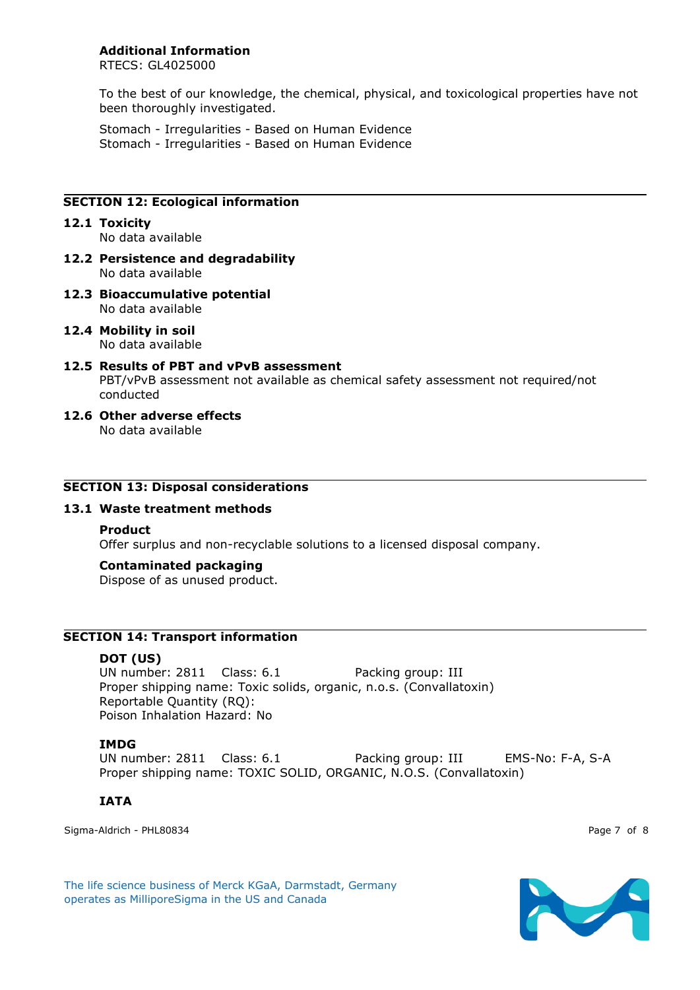### **Additional Information**

RTECS: GL4025000

To the best of our knowledge, the chemical, physical, and toxicological properties have not been thoroughly investigated.

Stomach - Irregularities - Based on Human Evidence Stomach - Irregularities - Based on Human Evidence

## **SECTION 12: Ecological information**

- **12.1 Toxicity** No data available
- **12.2 Persistence and degradability** No data available
- **12.3 Bioaccumulative potential** No data available
- **12.4 Mobility in soil** No data available
- **12.5 Results of PBT and vPvB assessment** PBT/vPvB assessment not available as chemical safety assessment not required/not conducted
- **12.6 Other adverse effects** No data available

### **SECTION 13: Disposal considerations**

### **13.1 Waste treatment methods**

#### **Product**

Offer surplus and non-recyclable solutions to a licensed disposal company.

### **Contaminated packaging**

Dispose of as unused product.

### **SECTION 14: Transport information**

### **DOT (US)**

UN number: 2811 Class: 6.1 Packing group: III Proper shipping name: Toxic solids, organic, n.o.s. (Convallatoxin) Reportable Quantity (RQ): Poison Inhalation Hazard: No

### **IMDG**

UN number: 2811 Class: 6.1 Packing group: III EMS-No: F-A, S-A Proper shipping name: TOXIC SOLID, ORGANIC, N.O.S. (Convallatoxin)

### **IATA**

Sigma-Aldrich - PHL80834 Page 7 of 8